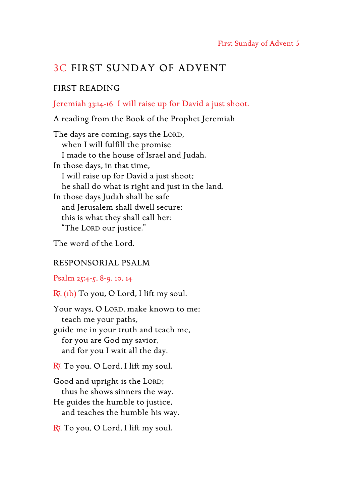# 3C FIRST SUNDAY OF ADVENT

## FIRST READING

## Jeremiah 33:14-16 I will raise up for David a just shoot.

A reading from the Book of the Prophet Jeremiah

The days are coming, says the LORD, when I will fulfill the promise I made to the house of Israel and Judah. In those days, in that time, I will raise up for David a just shoot; he shall do what is right and just in the land. In those days Judah shall be safe and Jerusalem shall dwell secure; this is what they shall call her: "The Lord our justice."

The word of the Lord.

### RESPONSORIAL PSALM

Psalm 25:4-5, 8-9, 10, 14

R. (1b) To you, O Lord, I lift my soul.

Your ways, O LORD, make known to me; teach me your paths, guide me in your truth and teach me, for you are God my savior, and for you I wait all the day.

 $R$ . To you, O Lord, I lift my soul.

Good and upright is the LORD; thus he shows sinners the way.

He guides the humble to justice, and teaches the humble his way.

 $R$ . To you, O Lord, I lift my soul.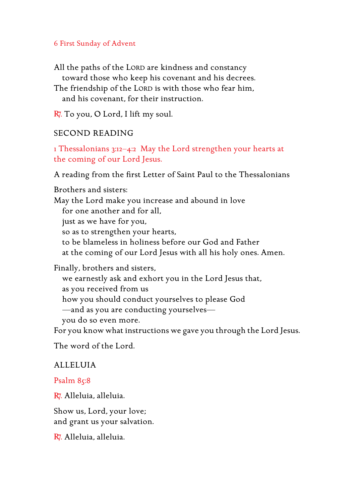### 6 First Sunday of Advent

All the paths of the LORD are kindness and constancy toward those who keep his covenant and his decrees.

The friendship of the LORD is with those who fear him, and his covenant, for their instruction.

 $R$ . To you, O Lord, I lift my soul.

### SECOND READING

1 Thessalonians 3:12–4:2 May the Lord strengthen your hearts at the coming of our Lord Jesus.

A reading from the first Letter of Saint Paul to the Thessalonians

Brothers and sisters: May the Lord make you increase and abound in love for one another and for all, just as we have for you, so as to strengthen your hearts, to be blameless in holiness before our God and Father at the coming of our Lord Jesus with all his holy ones. Amen.

Finally, brothers and sisters, we earnestly ask and exhort you in the Lord Jesus that, as you received from us how you should conduct yourselves to please God —and as you are conducting yourselves you do so even more.

For you know what instructions we gave you through the Lord Jesus.

The word of the Lord.

#### ALLELUIA

Psalm 85:8

R7. Alleluia, alleluia.

Show us, Lord, your love; and grant us your salvation.

R. Alleluia, alleluia.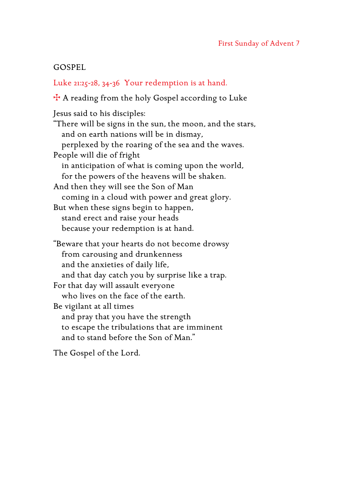## GOSPEL

Luke 21:25-28, 34-36 Your redemption is at hand.

W A reading from the holy Gospel according to Luke

Jesus said to his disciples: "There will be signs in the sun, the moon, and the stars, and on earth nations will be in dismay, perplexed by the roaring of the sea and the waves. People will die of fright in anticipation of what is coming upon the world, for the powers of the heavens will be shaken. And then they will see the Son of Man coming in a cloud with power and great glory. But when these signs begin to happen, stand erect and raise your heads because your redemption is at hand. "Beware that your hearts do not become drowsy from carousing and drunkenness and the anxieties of daily life, and that day catch you by surprise like a trap. For that day will assault everyone who lives on the face of the earth. Be vigilant at all times and pray that you have the strength

to escape the tribulations that are imminent and to stand before the Son of Man."

The Gospel of the Lord.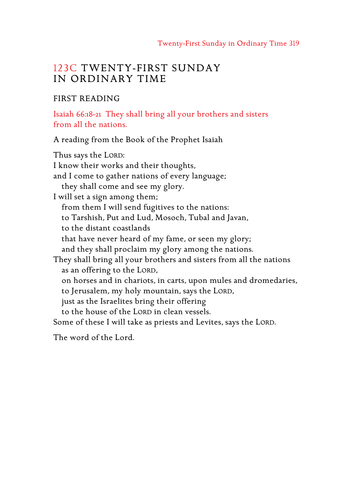## 123C TWENTY-FIRST SUNDAY IN ORDINARY TIME

### FIRST READING

Isaiah 66:18-21 They shall bring all your brothers and sisters from all the nations.

A reading from the Book of the Prophet Isaiah

Thus says the LORD: I know their works and their thoughts, and I come to gather nations of every language; they shall come and see my glory. I will set a sign among them; from them I will send fugitives to the nations: to Tarshish, Put and Lud, Mosoch, Tubal and Javan, to the distant coastlands that have never heard of my fame, or seen my glory; and they shall proclaim my glory among the nations. They shall bring all your brothers and sisters from all the nations as an offering to the LORD, on horses and in chariots, in carts, upon mules and dromedaries, to Jerusalem, my holy mountain, says the LORD, just as the Israelites bring their offering to the house of the LORD in clean vessels. Some of these I will take as priests and Levites, says the LORD. The word of the Lord.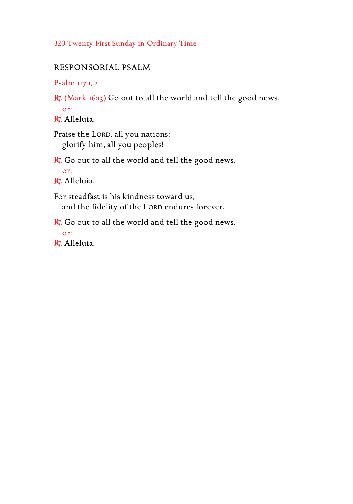## 320 Twenty-First Sunday in Ordinary Time

## RESPONSORIAL PSALM

Psalm 117:1, 2

R. (Mark 16:15) Go out to all the world and tell the good news.

or:

R. Alleluia.

Praise the LORD, all you nations; glorify him, all you peoples!

 $R$ . Go out to all the world and tell the good news. or:

R. Alleluia.

For steadfast is his kindness toward us, and the fidelity of the LORD endures forever.

 $R$ . Go out to all the world and tell the good news.

or:

R. Alleluia.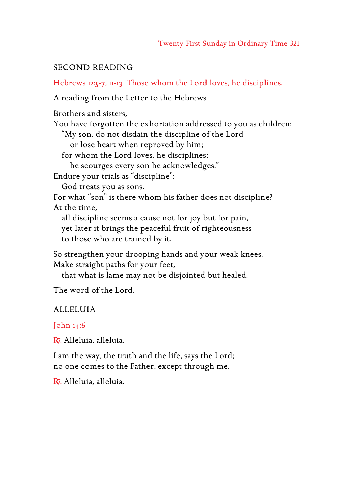## SECOND READING

Hebrews 12:5-7, 11-13 Those whom the Lord loves, he disciplines.

A reading from the Letter to the Hebrews

Brothers and sisters,

You have forgotten the exhortation addressed to you as children:

"My son, do not disdain the discipline of the Lord

or lose heart when reproved by him;

for whom the Lord loves, he disciplines;

he scourges every son he acknowledges."

Endure your trials as "discipline";

God treats you as sons.

For what "son" is there whom his father does not discipline? At the time,

all discipline seems a cause not for joy but for pain, yet later it brings the peaceful fruit of righteousness to those who are trained by it.

So strengthen your drooping hands and your weak knees. Make straight paths for your feet,

that what is lame may not be disjointed but healed.

The word of the Lord.

## ALLELUIA

John 14:6

R7. Alleluia, alleluia.

I am the way, the truth and the life, says the Lord; no one comes to the Father, except through me.

R7. Alleluia, alleluia.